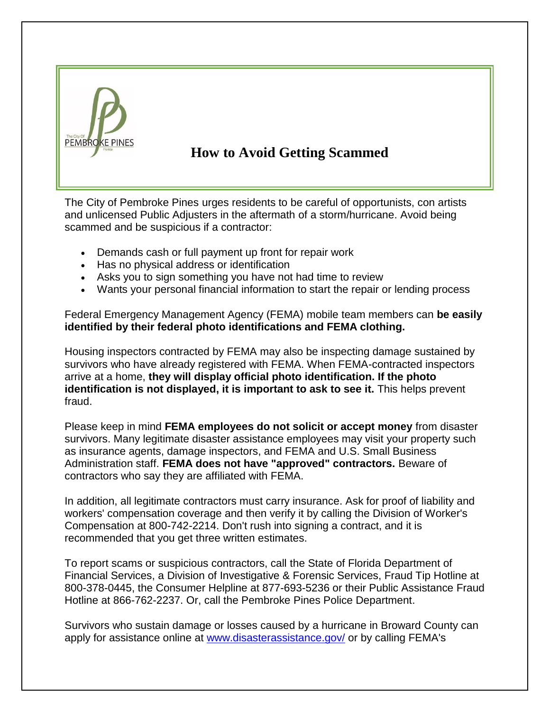

## **How to Avoid Getting Scammed**

The City of Pembroke Pines urges residents to be careful of opportunists, con artists and unlicensed Public Adjusters in the aftermath of a storm/hurricane. Avoid being scammed and be suspicious if a contractor:

- Demands cash or full payment up front for repair work
- Has no physical address or identification
- Asks you to sign something you have not had time to review
- Wants your personal financial information to start the repair or lending process

Federal Emergency Management Agency (FEMA) mobile team members can **be easily identified by their federal photo identifications and FEMA clothing.**

Housing inspectors contracted by FEMA may also be inspecting damage sustained by survivors who have already registered with FEMA. When FEMA-contracted inspectors arrive at a home, **they will display official photo identification. If the photo identification is not displayed, it is important to ask to see it.** This helps prevent fraud.

Please keep in mind **FEMA employees do not solicit or accept money** from disaster survivors. Many legitimate disaster assistance employees may visit your property such as insurance agents, damage inspectors, and FEMA and U.S. Small Business Administration staff. **FEMA does not have "approved" contractors.** Beware of contractors who say they are affiliated with FEMA.

In addition, all legitimate contractors must carry insurance. Ask for proof of liability and workers' compensation coverage and then verify it by calling the Division of Worker's Compensation at 800-742-2214. Don't rush into signing a contract, and it is recommended that you get three written estimates.

To report scams or suspicious contractors, call the State of Florida Department of Financial Services, a Division of Investigative & Forensic Services, Fraud Tip Hotline at 800-378-0445, the Consumer Helpline at 877-693-5236 or their Public Assistance Fraud Hotline at 866-762-2237. Or, call the Pembroke Pines Police Department.

Survivors who sustain damage or losses caused by a hurricane in Broward County can apply for assistance online at [www.disasterassistance.gov/](http://www.disasterassistance.gov/) or by calling FEMA's